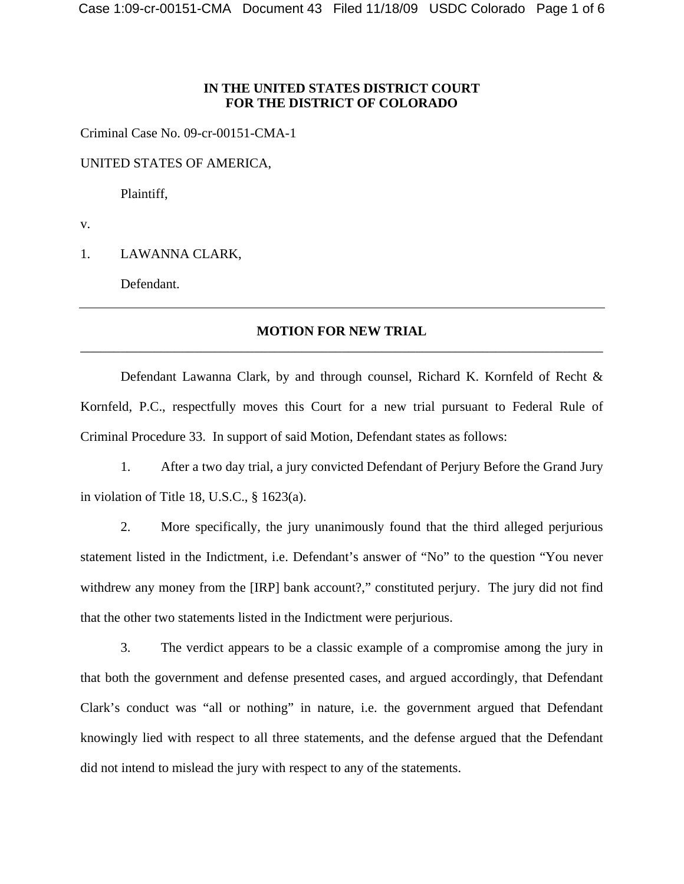## **IN THE UNITED STATES DISTRICT COURT FOR THE DISTRICT OF COLORADO**

Criminal Case No. 09-cr-00151-CMA-1

UNITED STATES OF AMERICA,

Plaintiff,

v.

1. LAWANNA CLARK,

Defendant.

## **MOTION FOR NEW TRIAL** \_\_\_\_\_\_\_\_\_\_\_\_\_\_\_\_\_\_\_\_\_\_\_\_\_\_\_\_\_\_\_\_\_\_\_\_\_\_\_\_\_\_\_\_\_\_\_\_\_\_\_\_\_\_\_\_\_\_\_\_\_\_\_\_\_\_\_\_\_\_\_\_\_\_\_\_\_\_

 Defendant Lawanna Clark, by and through counsel, Richard K. Kornfeld of Recht & Kornfeld, P.C., respectfully moves this Court for a new trial pursuant to Federal Rule of Criminal Procedure 33. In support of said Motion, Defendant states as follows:

 1. After a two day trial, a jury convicted Defendant of Perjury Before the Grand Jury in violation of Title 18, U.S.C., § 1623(a).

 2. More specifically, the jury unanimously found that the third alleged perjurious statement listed in the Indictment, i.e. Defendant's answer of "No" to the question "You never withdrew any money from the [IRP] bank account?," constituted perjury. The jury did not find that the other two statements listed in the Indictment were perjurious.

 3. The verdict appears to be a classic example of a compromise among the jury in that both the government and defense presented cases, and argued accordingly, that Defendant Clark's conduct was "all or nothing" in nature, i.e. the government argued that Defendant knowingly lied with respect to all three statements, and the defense argued that the Defendant did not intend to mislead the jury with respect to any of the statements.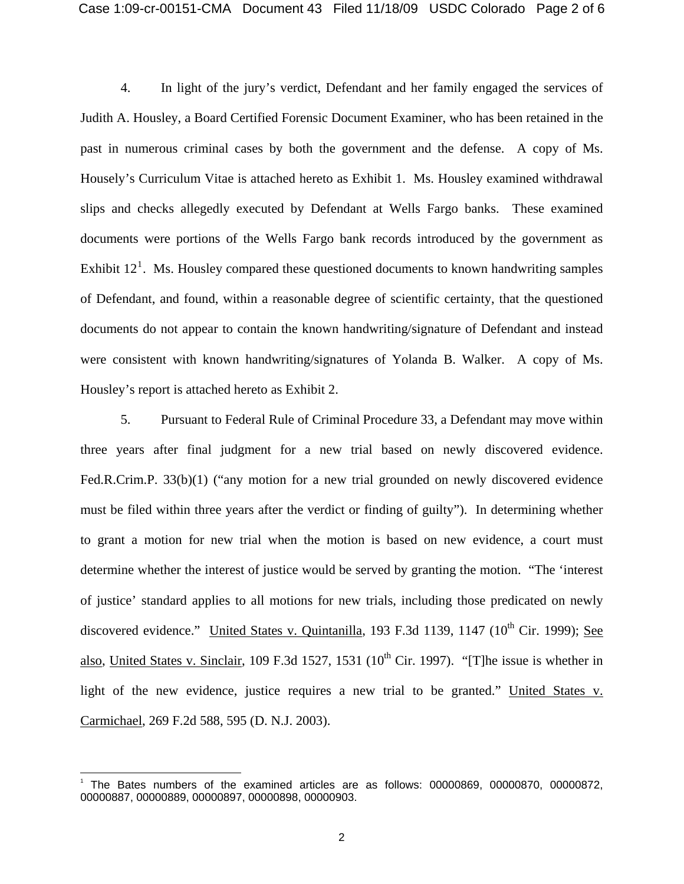4. In light of the jury's verdict, Defendant and her family engaged the services of Judith A. Housley, a Board Certified Forensic Document Examiner, who has been retained in the past in numerous criminal cases by both the government and the defense. A copy of Ms. Housely's Curriculum Vitae is attached hereto as Exhibit 1. Ms. Housley examined withdrawal slips and checks allegedly executed by Defendant at Wells Fargo banks. These examined documents were portions of the Wells Fargo bank records introduced by the government as Exhibit  $12<sup>1</sup>$  $12<sup>1</sup>$ . Ms. Housley compared these questioned documents to known handwriting samples of Defendant, and found, within a reasonable degree of scientific certainty, that the questioned documents do not appear to contain the known handwriting/signature of Defendant and instead were consistent with known handwriting/signatures of Yolanda B. Walker. A copy of Ms. Housley's report is attached hereto as Exhibit 2.

 5. Pursuant to Federal Rule of Criminal Procedure 33, a Defendant may move within three years after final judgment for a new trial based on newly discovered evidence. Fed.R.Crim.P. 33(b)(1) ("any motion for a new trial grounded on newly discovered evidence must be filed within three years after the verdict or finding of guilty"). In determining whether to grant a motion for new trial when the motion is based on new evidence, a court must determine whether the interest of justice would be served by granting the motion. "The 'interest of justice' standard applies to all motions for new trials, including those predicated on newly discovered evidence." United States v. Quintanilla, 193 F.3d 1139, 1147 (10<sup>th</sup> Cir. 1999); See also, United States v. Sinclair, 109 F.3d 1527, 1531  $(10^{th}$  Cir. 1997). "[T]he issue is whether in light of the new evidence, justice requires a new trial to be granted." United States v. Carmichael, 269 F.2d 588, 595 (D. N.J. 2003).

-

<span id="page-1-0"></span><sup>1</sup> The Bates numbers of the examined articles are as follows: 00000869, 00000870, 00000872, 00000887, 00000889, 00000897, 00000898, 00000903.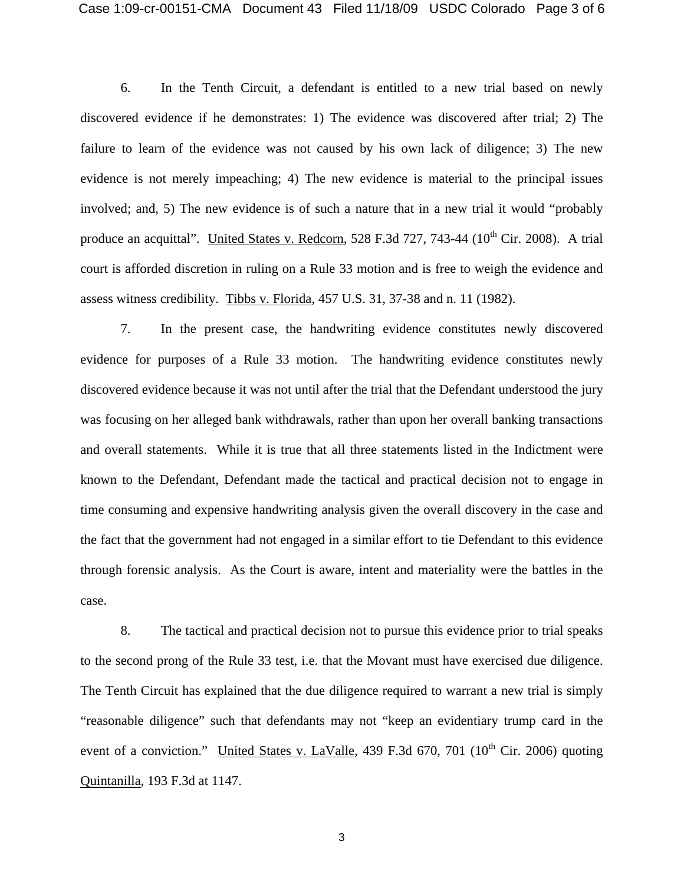6. In the Tenth Circuit, a defendant is entitled to a new trial based on newly discovered evidence if he demonstrates: 1) The evidence was discovered after trial; 2) The failure to learn of the evidence was not caused by his own lack of diligence; 3) The new evidence is not merely impeaching; 4) The new evidence is material to the principal issues involved; and, 5) The new evidence is of such a nature that in a new trial it would "probably produce an acquittal". United States v. Redcorn, 528 F.3d 727, 743-44 ( $10^{th}$  Cir. 2008). A trial court is afforded discretion in ruling on a Rule 33 motion and is free to weigh the evidence and assess witness credibility. Tibbs v. Florida, 457 U.S. 31, 37-38 and n. 11 (1982).

 7. In the present case, the handwriting evidence constitutes newly discovered evidence for purposes of a Rule 33 motion. The handwriting evidence constitutes newly discovered evidence because it was not until after the trial that the Defendant understood the jury was focusing on her alleged bank withdrawals, rather than upon her overall banking transactions and overall statements. While it is true that all three statements listed in the Indictment were known to the Defendant, Defendant made the tactical and practical decision not to engage in time consuming and expensive handwriting analysis given the overall discovery in the case and the fact that the government had not engaged in a similar effort to tie Defendant to this evidence through forensic analysis. As the Court is aware, intent and materiality were the battles in the case.

 8. The tactical and practical decision not to pursue this evidence prior to trial speaks to the second prong of the Rule 33 test, i.e. that the Movant must have exercised due diligence. The Tenth Circuit has explained that the due diligence required to warrant a new trial is simply "reasonable diligence" such that defendants may not "keep an evidentiary trump card in the event of a conviction." United States v. LaValle, 439 F.3d 670, 701 ( $10^{th}$  Cir. 2006) quoting Quintanilla, 193 F.3d at 1147.

3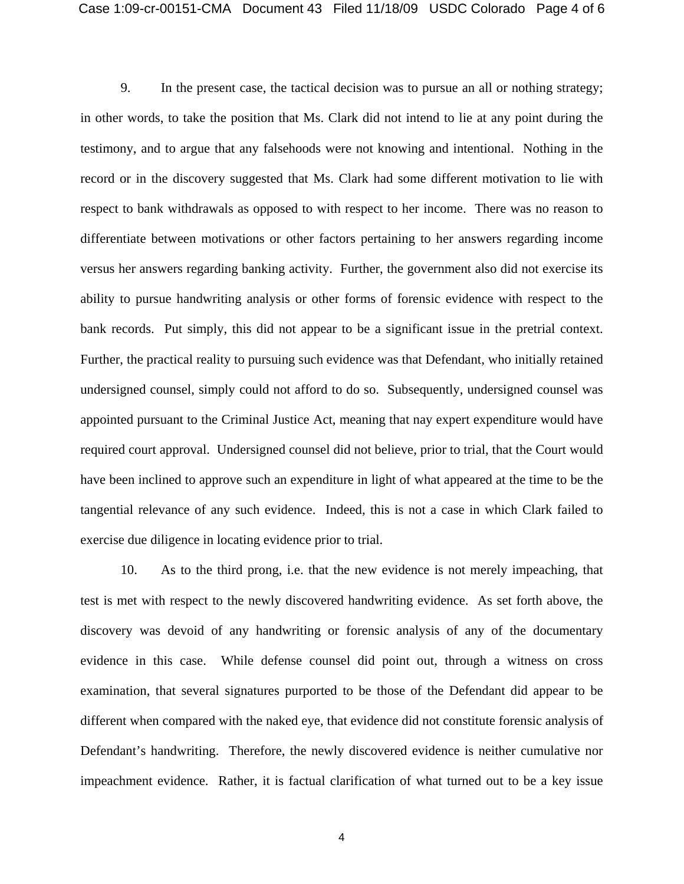9. In the present case, the tactical decision was to pursue an all or nothing strategy; in other words, to take the position that Ms. Clark did not intend to lie at any point during the testimony, and to argue that any falsehoods were not knowing and intentional. Nothing in the record or in the discovery suggested that Ms. Clark had some different motivation to lie with respect to bank withdrawals as opposed to with respect to her income. There was no reason to differentiate between motivations or other factors pertaining to her answers regarding income versus her answers regarding banking activity. Further, the government also did not exercise its ability to pursue handwriting analysis or other forms of forensic evidence with respect to the bank records. Put simply, this did not appear to be a significant issue in the pretrial context. Further, the practical reality to pursuing such evidence was that Defendant, who initially retained undersigned counsel, simply could not afford to do so. Subsequently, undersigned counsel was appointed pursuant to the Criminal Justice Act, meaning that nay expert expenditure would have required court approval. Undersigned counsel did not believe, prior to trial, that the Court would have been inclined to approve such an expenditure in light of what appeared at the time to be the tangential relevance of any such evidence. Indeed, this is not a case in which Clark failed to exercise due diligence in locating evidence prior to trial.

 10. As to the third prong, i.e. that the new evidence is not merely impeaching, that test is met with respect to the newly discovered handwriting evidence. As set forth above, the discovery was devoid of any handwriting or forensic analysis of any of the documentary evidence in this case. While defense counsel did point out, through a witness on cross examination, that several signatures purported to be those of the Defendant did appear to be different when compared with the naked eye, that evidence did not constitute forensic analysis of Defendant's handwriting. Therefore, the newly discovered evidence is neither cumulative nor impeachment evidence. Rather, it is factual clarification of what turned out to be a key issue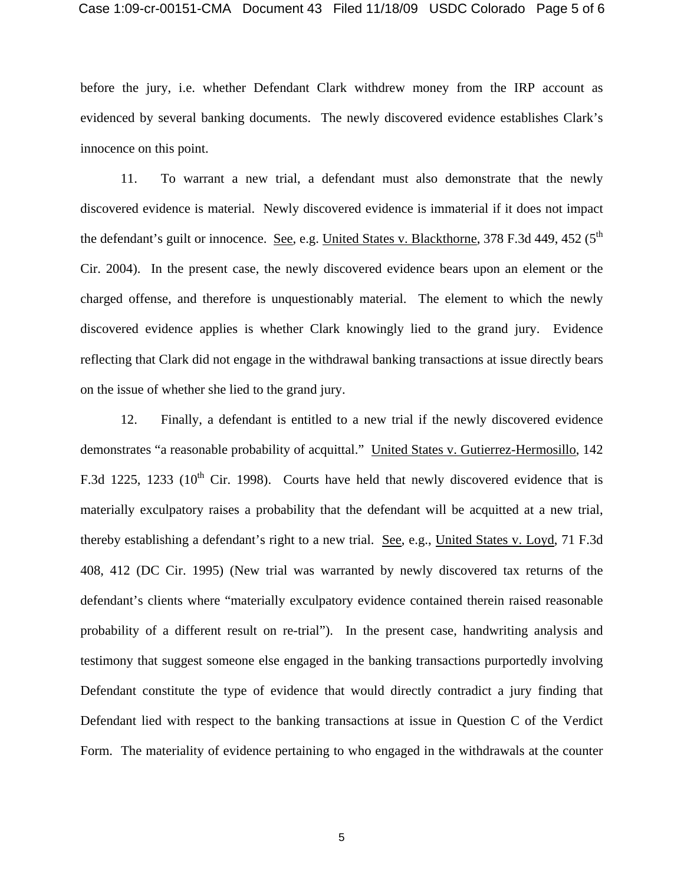before the jury, i.e. whether Defendant Clark withdrew money from the IRP account as evidenced by several banking documents. The newly discovered evidence establishes Clark's innocence on this point.

 11. To warrant a new trial, a defendant must also demonstrate that the newly discovered evidence is material. Newly discovered evidence is immaterial if it does not impact the defendant's guilt or innocence. See, e.g. United States v. Blackthorne,  $378$  F.3d  $449$ ,  $452$  ( $5<sup>th</sup>$ Cir. 2004). In the present case, the newly discovered evidence bears upon an element or the charged offense, and therefore is unquestionably material. The element to which the newly discovered evidence applies is whether Clark knowingly lied to the grand jury. Evidence reflecting that Clark did not engage in the withdrawal banking transactions at issue directly bears on the issue of whether she lied to the grand jury.

 12. Finally, a defendant is entitled to a new trial if the newly discovered evidence demonstrates "a reasonable probability of acquittal." United States v. Gutierrez-Hermosillo, 142 F.3d 1225, 1233 ( $10^{th}$  Cir. 1998). Courts have held that newly discovered evidence that is materially exculpatory raises a probability that the defendant will be acquitted at a new trial, thereby establishing a defendant's right to a new trial. See, e.g., United States v. Loyd, 71 F.3d 408, 412 (DC Cir. 1995) (New trial was warranted by newly discovered tax returns of the defendant's clients where "materially exculpatory evidence contained therein raised reasonable probability of a different result on re-trial"). In the present case, handwriting analysis and testimony that suggest someone else engaged in the banking transactions purportedly involving Defendant constitute the type of evidence that would directly contradict a jury finding that Defendant lied with respect to the banking transactions at issue in Question C of the Verdict Form. The materiality of evidence pertaining to who engaged in the withdrawals at the counter